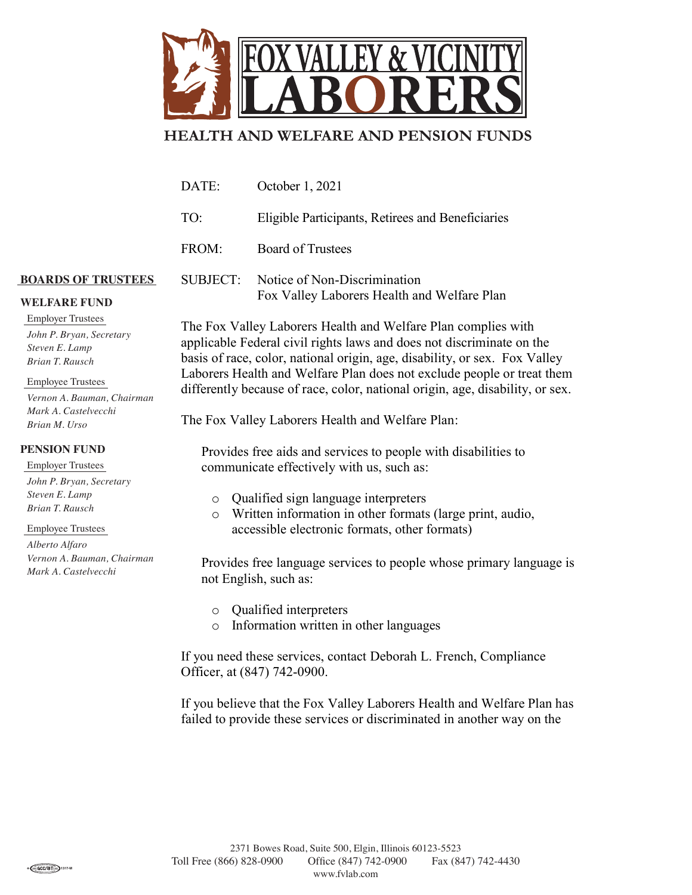

## **HEALTH AND WELFARE AND PENSION FUNDS**

| DATE:    | October 1, 2021                                                             |
|----------|-----------------------------------------------------------------------------|
| TO:      | Eligible Participants, Retirees and Beneficiaries                           |
| FROM:    | <b>Board of Trustees</b>                                                    |
| SUBJECT: | Notice of Non-Discrimination<br>Fox Valley Laborers Health and Welfare Plan |

**WELFARE FUND**

**BOARDS OF TRUSTEES**

Employer Trustees *John P. Bryan, Secretary Steven E. Lamp Brian T. Rausch*

Employee Trustees

*Vernon A. Bauman, Chairman Mark A. Castelvecchi Brian M. Urso*

## **PENSION FUND**

Employer Trustees *John P. Bryan, Secretary Steven E. Lamp Brian T. Rausch*

## Employee Trustees

*Alberto Alfaro Vernon A. Bauman, Chairman Mark A. Castelvecchi*

The Fox Valley Laborers Health and Welfare Plan complies with applicable Federal civil rights laws and does not discriminate on the basis of race, color, national origin, age, disability, or sex. Fox Valley Laborers Health and Welfare Plan does not exclude people or treat them differently because of race, color, national origin, age, disability, or sex.

The Fox Valley Laborers Health and Welfare Plan:

Provides free aids and services to people with disabilities to<br>
communicate effectively with us, such as:<br>  $\circ$  Qualified sign language interpreters<br>  $\circ$  Written information in other formats (large print, audio,<br>
accessib Provides free aids and services to people with disabilities to communicate effectively with us, such as:

- o Qualified sign language interpreters
- accessible electronic formats, other formats)

Provides free language services to people whose primary language is not English, such as:

- o Qualified interpreters
- o Information written in other languages

If you need these services, contact Deborah L. French, Compliance Officer, at (847) 742-0900.

If you believe that the Fox Valley Laborers Health an failed to provide these services or discriminated in an If you believe that the Fox Valley Laborers Health and Welfare Plan has failed to provide these services or discriminated in another way on the